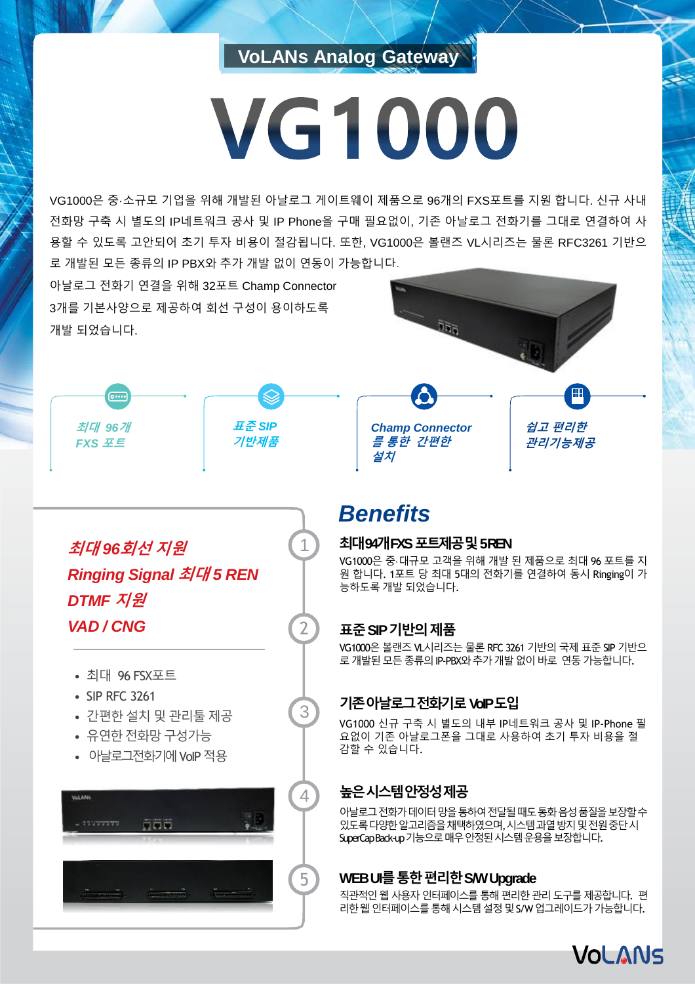### **VoLANs Analog Gateway**

# **VG1000**

VG1000은 중·소규모 기업을 위해 개발된 아날로그 게이트웨이 제품으로 96개의 FXS포트를 지원 합니다. 신규 사내 전화망 구축 시 별도의 IP네트워크 공사 및 IP Phone을 구매 필요없이, 기존 아날로그 전화기를 그대로 연결하여 사 용할 수 있도록 고안되어 초기 투자 비용이 절감됩니다. 또한, VG1000은 볼랜즈 VL시리즈는 물론 RFC3261 기반으 로 개발된 모든 종류의 IP PBX와 추가 개발 없이 연동이 가능합니다.

아날로그 전화기 연결을 위해 32포트 Champ Connector 3개를 기본사양으로 제공하여 회선 구성이 용이하도록 개발 되었습니다.

*Champ Connector* **쉽고 편리한 관리기능제공**

**최대** *96***개** *FXS* **포트**



1

2

3



# *Benefits*

#### **최대94개FXS 포트제공및5 REN**

VG1000은 중·대규모 고객을 위해 개발 된 제품으로 최대 96 포트를 지 원 합니다. 1포트 당 최대 5대의 전화기를 연결하여 동시 Ringing이 가 능하도록 개발 되었습니다.

#### **표준SIP 기반의제품**

VG1000은 볼랜즈 VL시리즈는 물론 RFC 3261 기반의 국제 표준 SIP 기반으 로 개발된 모든 종류의 IP-PBX와 추가 개발 없이 바로 연동 가능합니다.

#### **기존아날로그전화기로VoIP 도입**

VG1000 신규 구축 시 별도의 내부 IP네트워크 공사 및 IP-Phone 필 요없이 기존 아날로그폰을 그대로 사용하여 초기 투자 비용을 절 감할 수 있습니다.

#### **높은시스템안정성제공**

아날로그전화가데이터망을통하여전달될때도통화음성품질을보장할수 있도록다양한알고리즘을채택하였으며, 시스템과열방지및전원중단시 SuperCap Back-up 기능으로매우안정된시스템운용을보장합니다.

#### **WEBUI를통한편리한S/W Upgrade**

직관적인 웹 사용자 인터페이스를 통해 편리한 관리 도구를 제공합니다. 편 리한웹인터페이스를통해시스템설정및S/W업그레이드가가능합니다.



**최대** *96***회선 지원** *Ringing Signal* **최대** *5 REN DTMF* **지원** *VAD / CNG*

- 최대 96 FSX포트
- SIP RFC 3261
- 간편한설치 및 관리툴제공
- 유연한 전화망 구성가능
- 아날로그전화기에 VoIP 적용